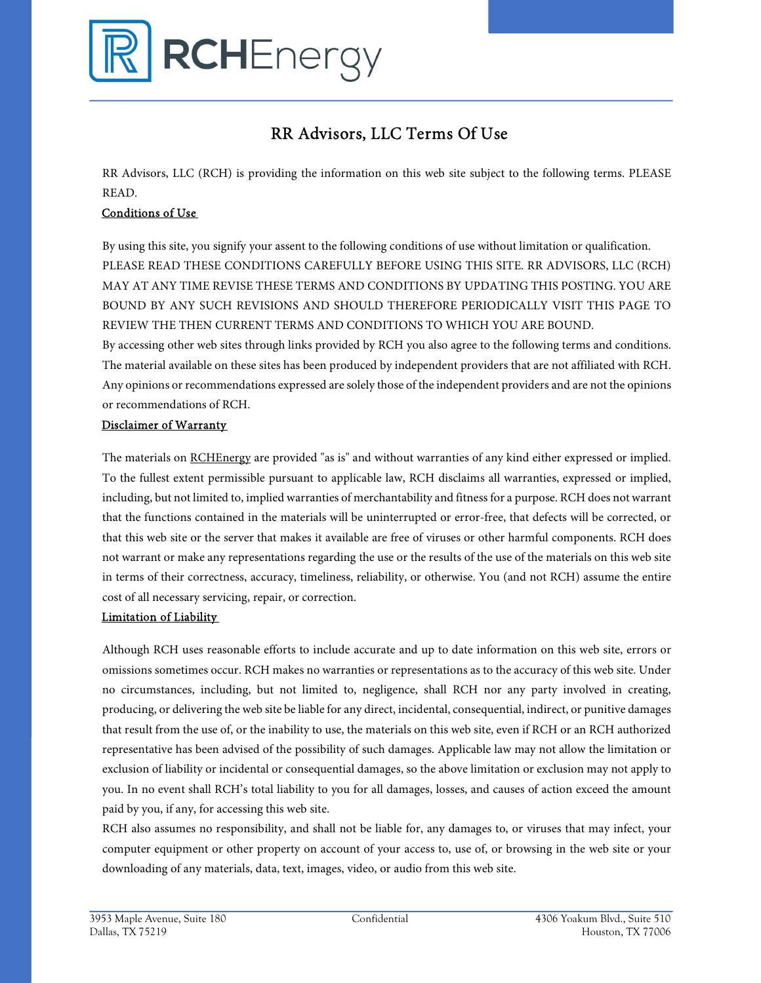

# RR Advisors, LLC Terms Of Use

RR Advisors, LLC (RCH) is providing the information on this web site subject to the following terms. PLEASE READ.

## Conditions of Use

By using this site, you signify your assent to the following conditions of use without limitation or qualification. PLEASE READ THESE CONDITIONS CAREFULLY BEFORE USING THIS SITE. RR ADVISORS, LLC (RCH) MAY AT ANY TIME REVISE THESE TERMS AND CONDITIONS BY UPDATING THIS POSTING. YOU ARE BOUND BY ANY SUCH REVISIONS AND SHOULD THEREFORE PERIODICALLY VISIT THIS PAGE TO REVIEW THE THEN CURRENT TERMS AND CONDITIONS TO WHICH YOU ARE BOUND.

By accessing other web sites through links provided by RCH you also agree to the following terms and conditions. The material available on these sites has been produced by independent providers that are not affiliated with RCH. Any opinions or recommendations expressed are solely those of the independent providers and are not the opinions or recommendations of RCH.

#### Disclaimer of Warranty

The materials on RCHEnergy are provided "as is" and without warranties of any kind either expressed or implied. To the fullest extent permissible pursuant to applicable law, RCH disclaims all warranties, expressed or implied, including, but not limited to, implied warranties of merchantability and fitness for a purpose. RCH does not warrant that the functions contained in the materials will be uninterrupted or error-free, that defects will be corrected, or that this web site or the server that makes it available are free of viruses or other harmful components. RCH does not warrant or make any representations regarding the use or the results of the use of the materials on this web site in terms of their correctness, accuracy, timeliness, reliability, or otherwise. You (and not RCH) assume the entire cost of all necessary servicing, repair, or correction.

### Limitation of Liability

Although RCH uses reasonable efforts to include accurate and up to date information on this web site, errors or omissions sometimes occur. RCH makes no warranties or representations as to the accuracy of this web site. Under no circumstances, including, but not limited to, negligence, shall RCH nor any party involved in creating, producing, or delivering the web site be liable for any direct, incidental, consequential, indirect, or punitive damages that result from the use of, or the inability to use, the materials on this web site, even if RCH or an RCH authorized representative has been advised of the possibility of such damages. Applicable law may not allow the limitation or exclusion of liability or incidental or consequential damages, so the above limitation or exclusion may not apply to you. In no event shall RCH's total liability to you for all damages, losses, and causes of action exceed the amount paid by you, if any, for accessing this web site.

RCH also assumes no responsibility, and shall not be liable for, any damages to, or viruses that may infect, your computer equipment or other property on account of your access to, use of, or browsing in the web site or your downloading of any materials, data, text, images, video, or audio from this web site.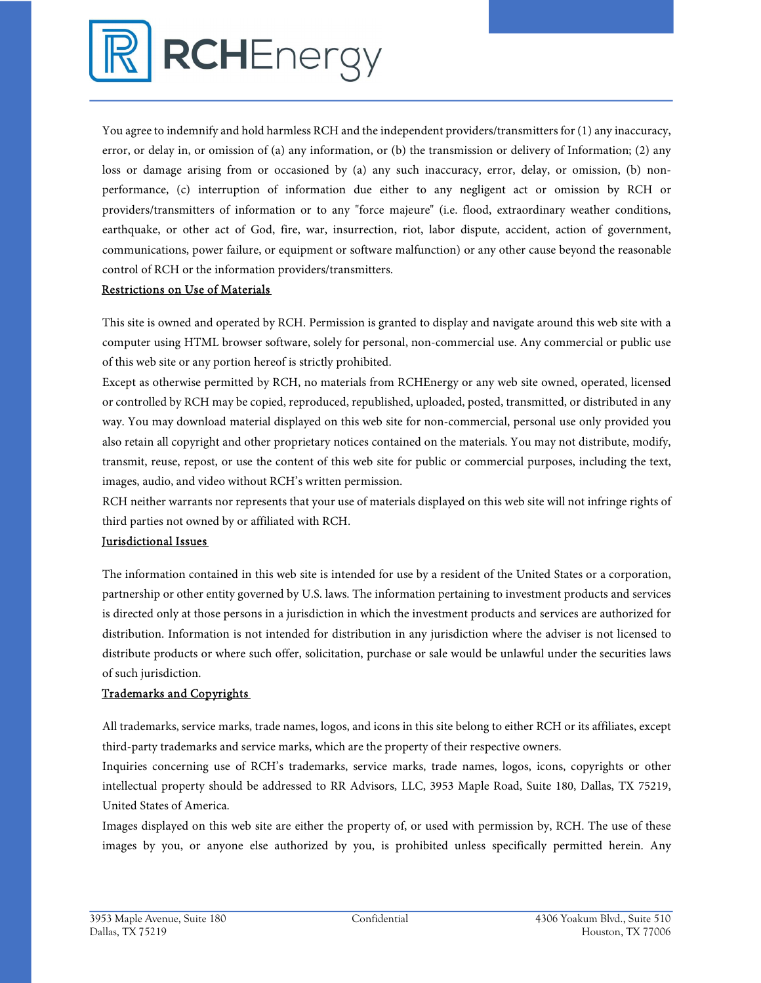

You agree to indemnify and hold harmless RCH and the independent providers/transmitters for (1) any inaccuracy, error, or delay in, or omission of (a) any information, or (b) the transmission or delivery of Information; (2) any loss or damage arising from or occasioned by (a) any such inaccuracy, error, delay, or omission, (b) nonperformance, (c) interruption of information due either to any negligent act or omission by RCH or providers/transmitters of information or to any "force majeure" (i.e. flood, extraordinary weather conditions, earthquake, or other act of God, fire, war, insurrection, riot, labor dispute, accident, action of government, communications, power failure, or equipment or software malfunction) or any other cause beyond the reasonable control of RCH or the information providers/transmitters.

## Restrictions on Use of Materials

This site is owned and operated by RCH. Permission is granted to display and navigate around this web site with a computer using HTML browser software, solely for personal, non-commercial use. Any commercial or public use of this web site or any portion hereof is strictly prohibited.

Except as otherwise permitted by RCH, no materials from RCHEnergy or any web site owned, operated, licensed or controlled by RCH may be copied, reproduced, republished, uploaded, posted, transmitted, or distributed in any way. You may download material displayed on this web site for non-commercial, personal use only provided you also retain all copyright and other proprietary notices contained on the materials. You may not distribute, modify, transmit, reuse, repost, or use the content of this web site for public or commercial purposes, including the text, images, audio, and video without RCH's written permission.

RCH neither warrants nor represents that your use of materials displayed on this web site will not infringe rights of third parties not owned by or affiliated with RCH.

## Jurisdictional Issues

The information contained in this web site is intended for use by a resident of the United States or a corporation, partnership or other entity governed by U.S. laws. The information pertaining to investment products and services is directed only at those persons in a jurisdiction in which the investment products and services are authorized for distribution. Information is not intended for distribution in any jurisdiction where the adviser is not licensed to distribute products or where such offer, solicitation, purchase or sale would be unlawful under the securities laws of such jurisdiction.

## Trademarks and Copyrights

All trademarks, service marks, trade names, logos, and icons in this site belong to either RCH or its affiliates, except third-party trademarks and service marks, which are the property of their respective owners.

Inquiries concerning use of RCH's trademarks, service marks, trade names, logos, icons, copyrights or other intellectual property should be addressed to RR Advisors, LLC, 3953 Maple Road, Suite 180, Dallas, TX 75219, United States of America.

Images displayed on this web site are either the property of, or used with permission by, RCH. The use of these images by you, or anyone else authorized by you, is prohibited unless specifically permitted herein. Any